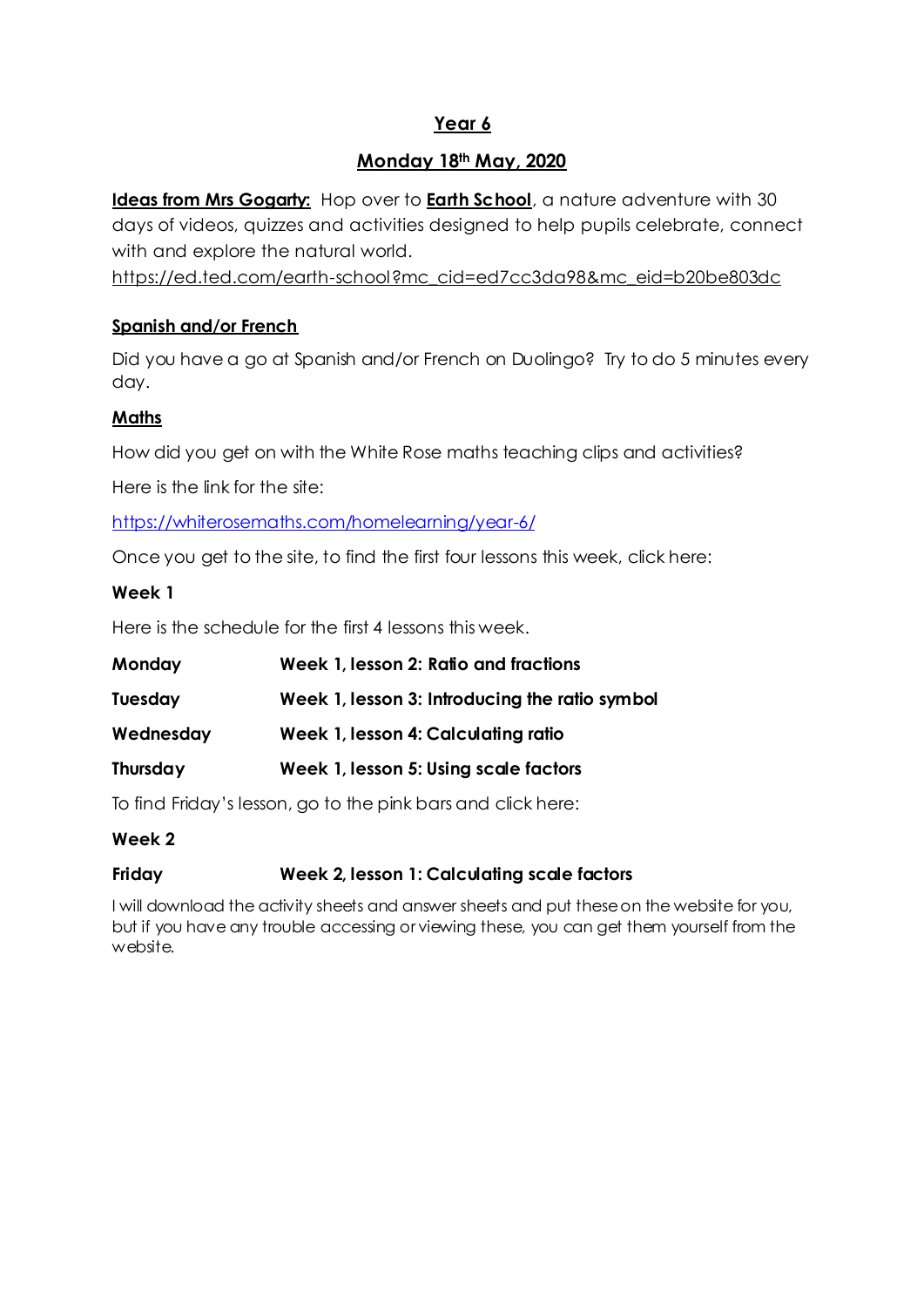# **Year 6**

## **Monday 18th May, 2020**

**Ideas from Mrs Gogarty:** Hop over to **Earth [School](https://ed.ted.com/earth-school?mc_cid=ed7cc3da98&mc_eid=b20be803dc)**, a nature adventure with 30 days of videos, quizzes and activities designed to help pupils celebrate, connect with and explore the natural world.

[https://ed.ted.com/earth-school?mc\\_cid=ed7cc3da98&mc\\_eid=b20be803dc](https://ed.ted.com/earth-school?mc_cid=ed7cc3da98&mc_eid=b20be803dc)

### **Spanish and/or French**

Did you have a go at Spanish and/or French on Duolingo? Try to do 5 minutes every day.

### **Maths**

How did you get on with the White Rose maths teaching clips and activities?

Here is the link for the site:

<https://whiterosemaths.com/homelearning/year-6/>

Once you get to the site, to find the first four lessons this week, click here:

#### **Week 1**

Here is the schedule for the first 4 lessons this week.

| Monday         | Week 1, lesson 2: Ratio and fractions          |
|----------------|------------------------------------------------|
| <b>Tuesday</b> | Week 1, lesson 3: Introducing the ratio symbol |
| Wednesday      | Week 1, lesson 4: Calculating ratio            |
| Thursday       | Week 1, lesson 5: Using scale factors          |

To find Friday's lesson, go to the pink bars and click here:

#### **Week 2**

#### **Friday Week 2, lesson 1: Calculating scale factors**

I will download the activity sheets and answer sheets and put these on the website for you, but if you have any trouble accessing or viewing these, you can get them yourself from the website.